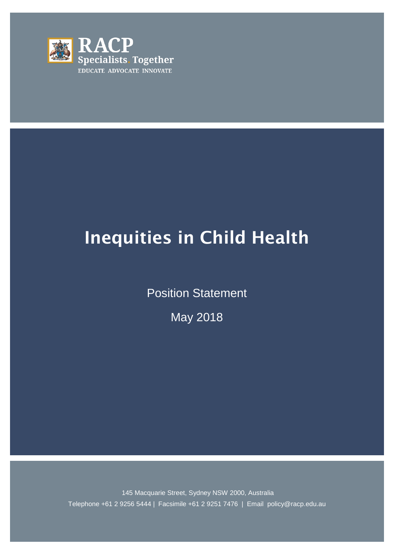

# Inequities in Child Health

Position Statement

May 2018

145 Macquarie Street, Sydney NSW 2000, Australia Telephone +61 2 9256 5444 | Facsimile +61 2 9251 7476 | Email policy@racp.edu.au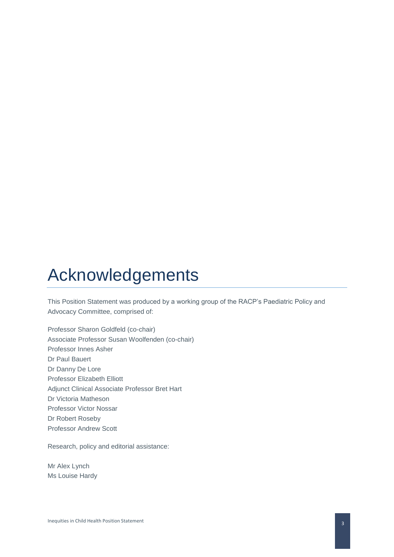## Acknowledgements

This Position Statement was produced by a working group of the RACP's Paediatric Policy and Advocacy Committee, comprised of:

Professor Sharon Goldfeld (co-chair) Associate Professor Susan Woolfenden (co-chair) Professor Innes Asher Dr Paul Bauert Dr Danny De Lore Professor Elizabeth Elliott Adjunct Clinical Associate Professor Bret Hart Dr Victoria Matheson Professor Victor Nossar Dr Robert Roseby Professor Andrew Scott

Research, policy and editorial assistance:

Mr Alex Lynch Ms Louise Hardy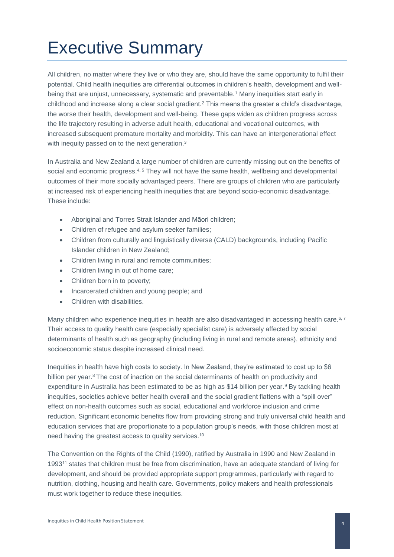## Executive Summary

All children, no matter where they live or who they are, should have the same opportunity to fulfil their potential. Child health inequities are differential outcomes in children's health, development and wellbeing that are unjust, unnecessary, systematic and preventable.<sup>1</sup> Many inequities start early in childhood and increase along a clear social gradient.<sup>2</sup> This means the greater a child's disadvantage, the worse their health, development and well-being. These gaps widen as children progress across the life trajectory resulting in adverse adult health, educational and vocational outcomes, with increased subsequent premature mortality and morbidity. This can have an intergenerational effect with inequity passed on to the next generation.<sup>3</sup>

In Australia and New Zealand a large number of children are currently missing out on the benefits of social and economic progress.<sup>4, 5</sup> They will not have the same health, wellbeing and developmental outcomes of their more socially advantaged peers. There are groups of children who are particularly at increased risk of experiencing health inequities that are beyond socio-economic disadvantage. These include:

- Aboriginal and Torres Strait Islander and Māori children;
- Children of refugee and asylum seeker families;
- Children from culturally and linguistically diverse (CALD) backgrounds, including Pacific Islander children in New Zealand;
- Children living in rural and remote communities;
- Children living in out of home care;
- Children born in to poverty;
- Incarcerated children and young people; and
- Children with disabilities.

Many children who experience inequities in health are also disadvantaged in accessing health care.<sup>6, 7</sup> Their access to quality health care (especially specialist care) is adversely affected by social determinants of health such as geography (including living in rural and remote areas), ethnicity and socioeconomic status despite increased clinical need.

Inequities in health have high costs to society. In New Zealand, they're estimated to cost up to \$6 billion per year.<sup>8</sup> The cost of inaction on the social determinants of health on productivity and expenditure in Australia has been estimated to be as high as \$14 billion per year. <sup>9</sup> By tackling health inequities, societies achieve better health overall and the social gradient flattens with a "spill over" effect on non-health outcomes such as social, educational and workforce inclusion and crime reduction. Significant economic benefits flow from providing strong and truly universal child health and education services that are proportionate to a population group's needs, with those children most at need having the greatest access to quality services. 10

The Convention on the Rights of the Child (1990), ratified by Australia in 1990 and New Zealand in 1993<sup>11</sup> states that children must be free from discrimination, have an adequate standard of living for development, and should be provided appropriate support programmes, particularly with regard to nutrition, clothing, housing and health care. Governments, policy makers and health professionals must work together to reduce these inequities.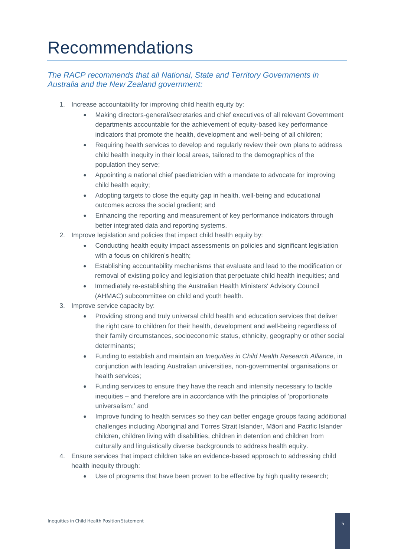## Recommendations

### *The RACP recommends that all National, State and Territory Governments in Australia and the New Zealand government:*

- 1. Increase accountability for improving child health equity by:
	- Making directors-general/secretaries and chief executives of all relevant Government departments accountable for the achievement of equity-based key performance indicators that promote the health, development and well-being of all children;
	- Requiring health services to develop and regularly review their own plans to address child health inequity in their local areas, tailored to the demographics of the population they serve;
	- Appointing a national chief paediatrician with a mandate to advocate for improving child health equity;
	- Adopting targets to close the equity gap in health, well-being and educational outcomes across the social gradient; and
	- Enhancing the reporting and measurement of key performance indicators through better integrated data and reporting systems.
- 2. Improve legislation and policies that impact child health equity by:
	- Conducting health equity impact assessments on policies and significant legislation with a focus on children's health;
	- Establishing accountability mechanisms that evaluate and lead to the modification or removal of existing policy and legislation that perpetuate child health inequities; and
	- Immediately re-establishing the Australian Health Ministers' Advisory Council (AHMAC) subcommittee on child and youth health.
- 3. Improve service capacity by:
	- Providing strong and truly universal child health and education services that deliver the right care to children for their health, development and well-being regardless of their family circumstances, socioeconomic status, ethnicity, geography or other social determinants;
	- Funding to establish and maintain an *Inequities in Child Health Research Alliance*, in conjunction with leading Australian universities, non-governmental organisations or health services;
	- Funding services to ensure they have the reach and intensity necessary to tackle inequities – and therefore are in accordance with the principles of 'proportionate universalism;' and
	- Improve funding to health services so they can better engage groups facing additional challenges including Aboriginal and Torres Strait Islander, Māori and Pacific Islander children, children living with disabilities, children in detention and children from culturally and linguistically diverse backgrounds to address health equity.
- 4. Ensure services that impact children take an evidence-based approach to addressing child health inequity through:
	- Use of programs that have been proven to be effective by high quality research;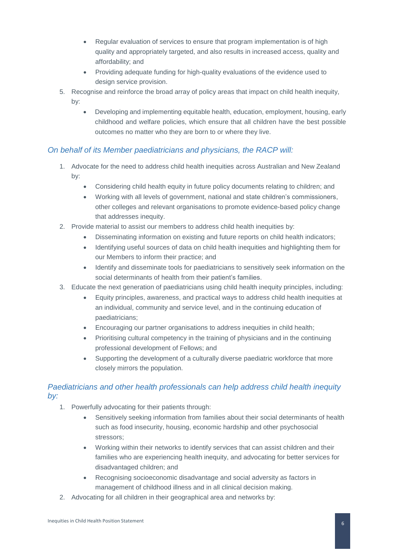- Regular evaluation of services to ensure that program implementation is of high quality and appropriately targeted, and also results in increased access, quality and affordability; and
- Providing adequate funding for high-quality evaluations of the evidence used to design service provision.
- 5. Recognise and reinforce the broad array of policy areas that impact on child health inequity, by:
	- Developing and implementing equitable health, education, employment, housing, early childhood and welfare policies, which ensure that all children have the best possible outcomes no matter who they are born to or where they live.

#### *On behalf of its Member paediatricians and physicians, the RACP will:*

- 1. Advocate for the need to address child health inequities across Australian and New Zealand by:
	- Considering child health equity in future policy documents relating to children; and
	- Working with all levels of government, national and state children's commissioners, other colleges and relevant organisations to promote evidence-based policy change that addresses inequity.
- 2. Provide material to assist our members to address child health inequities by:
	- Disseminating information on existing and future reports on child health indicators;
	- Identifying useful sources of data on child health inequities and highlighting them for our Members to inform their practice; and
	- Identify and disseminate tools for paediatricians to sensitively seek information on the social determinants of health from their patient's families.
- 3. Educate the next generation of paediatricians using child health inequity principles, including:
	- Equity principles, awareness, and practical ways to address child health inequities at an individual, community and service level, and in the continuing education of paediatricians;
	- Encouraging our partner organisations to address inequities in child health;
	- Prioritising cultural competency in the training of physicians and in the continuing professional development of Fellows; and
	- Supporting the development of a culturally diverse paediatric workforce that more closely mirrors the population.

#### *Paediatricians and other health professionals can help address child health inequity by:*

- 1. Powerfully advocating for their patients through:
	- Sensitively seeking information from families about their social determinants of health such as food insecurity, housing, economic hardship and other psychosocial stressors;
	- Working within their networks to identify services that can assist children and their families who are experiencing health inequity, and advocating for better services for disadvantaged children; and
	- Recognising socioeconomic disadvantage and social adversity as factors in management of childhood illness and in all clinical decision making.
- 2. Advocating for all children in their geographical area and networks by: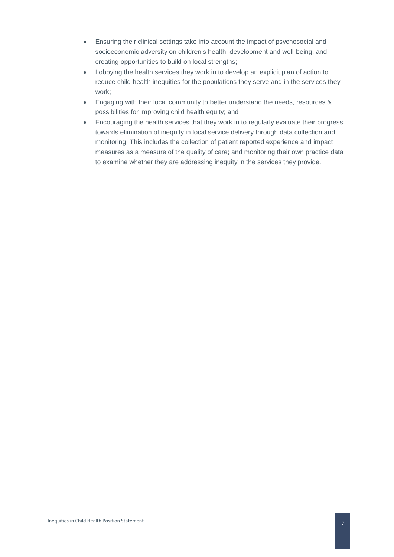- Ensuring their clinical settings take into account the impact of psychosocial and socioeconomic adversity on children's health, development and well-being, and creating opportunities to build on local strengths;
- Lobbying the health services they work in to develop an explicit plan of action to reduce child health inequities for the populations they serve and in the services they work;
- Engaging with their local community to better understand the needs, resources & possibilities for improving child health equity; and
- Encouraging the health services that they work in to regularly evaluate their progress towards elimination of inequity in local service delivery through data collection and monitoring. This includes the collection of patient reported experience and impact measures as a measure of the quality of care; and monitoring their own practice data to examine whether they are addressing inequity in the services they provide.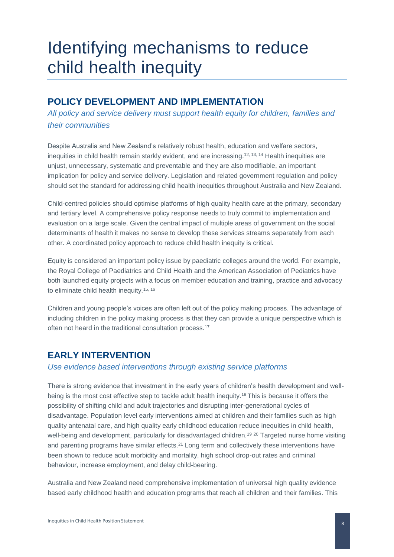## Identifying mechanisms to reduce child health inequity

## **POLICY DEVELOPMENT AND IMPLEMENTATION**

*All policy and service delivery must support health equity for children, families and their communities*

Despite Australia and New Zealand's relatively robust health, education and welfare sectors, inequities in child health remain starkly evident, and are increasing. 12, 13, <sup>14</sup> Health inequities are unjust, unnecessary, systematic and preventable and they are also modifiable, an important implication for policy and service delivery. Legislation and related government regulation and policy should set the standard for addressing child health inequities throughout Australia and New Zealand.

Child-centred policies should optimise platforms of high quality health care at the primary, secondary and tertiary level. A comprehensive policy response needs to truly commit to implementation and evaluation on a large scale. Given the central impact of multiple areas of government on the social determinants of health it makes no sense to develop these services streams separately from each other. A coordinated policy approach to reduce child health inequity is critical.

Equity is considered an important policy issue by paediatric colleges around the world. For example, the Royal College of Paediatrics and Child Health and the American Association of Pediatrics have both launched equity projects with a focus on member education and training, practice and advocacy to eliminate child health inequity.<sup>15, 16</sup>

Children and young people's voices are often left out of the policy making process. The advantage of including children in the policy making process is that they can provide a unique perspective which is often not heard in the traditional consultation process.<sup>17</sup>

## **EARLY INTERVENTION**

#### *Use evidence based interventions through existing service platforms*

There is strong evidence that investment in the early years of children's health development and wellbeing is the most cost effective step to tackle adult health inequity. <sup>18</sup> This is because it offers the possibility of shifting child and adult trajectories and disrupting inter-generational cycles of disadvantage. Population level early interventions aimed at children and their families such as high quality antenatal care, and high quality early childhood education reduce inequities in child health, well-being and development, particularly for disadvantaged children.<sup>19 20</sup> Targeted nurse home visiting and parenting programs have similar effects.<sup>21</sup> Long term and collectively these interventions have been shown to reduce adult morbidity and mortality, high school drop-out rates and criminal behaviour, increase employment, and delay child-bearing.

Australia and New Zealand need comprehensive implementation of universal high quality evidence based early childhood health and education programs that reach all children and their families. This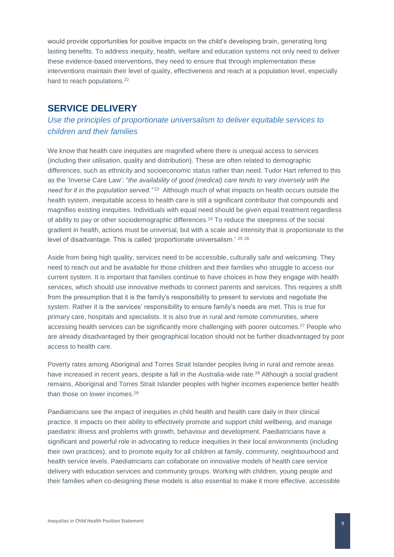would provide opportunities for positive impacts on the child's developing brain, generating long lasting benefits. To address inequity, health, welfare and education systems not only need to deliver these evidence-based interventions, they need to ensure that through implementation these interventions maintain their level of quality, effectiveness and reach at a population level, especially hard to reach populations. 22

### **SERVICE DELIVERY**

*Use the principles of proportionate universalism to deliver equitable services to children and their families*

We know that health care inequities are magnified where there is unequal access to services (including their utilisation, quality and distribution). These are often related to demographic differences, such as ethnicity and socioeconomic status rather than need. Tudor Hart referred to this as the 'Inverse Care Law': "*the availability of good (medical) care tends to vary inversely with the need for it in the population served."* <sup>23</sup> Although much of what impacts on health occurs outside the health system, inequitable access to health care is still a significant contributor that compounds and magnifies existing inequities. Individuals with equal need should be given equal treatment regardless of ability to pay or other sociodemographic differences.<sup>24</sup> To reduce the steepness of the social gradient in health, actions must be universal, but with a scale and intensity that is proportionate to the level of disadvantage. This is called 'proportionate universalism.' 25 26

Aside from being high quality, services need to be accessible, culturally safe and welcoming. They need to reach out and be available for those children and their families who struggle to access our current system. It is important that families continue to have choices in how they engage with health services, which should use innovative methods to connect parents and services. This requires a shift from the presumption that it is the family's responsibility to present to services and negotiate the system. Rather it is the services' responsibility to ensure family's needs are met. This is true for primary care, hospitals and specialists. It is also true in rural and remote communities, where accessing health services can be significantly more challenging with poorer outcomes.<sup>27</sup> People who are already disadvantaged by their geographical location should not be further disadvantaged by poor access to health care.

Poverty rates among Aboriginal and Torres Strait Islander peoples living in rural and remote areas have increased in recent years, despite a fall in the Australia-wide rate.<sup>28</sup> Although a social gradient remains, Aboriginal and Torres Strait Islander peoples with higher incomes experience better health than those on lower incomes.<sup>29</sup>

Paediatricians see the impact of inequities in child health and health care daily in their clinical practice. It impacts on their ability to effectively promote and support child wellbeing, and manage paediatric illness and problems with growth, behaviour and development. Paediatricians have a significant and powerful role in advocating to reduce inequities in their local environments (including their own practices), and to promote equity for all children at family, community, neighbourhood and health service levels. Paediatricians can collaborate on innovative models of health care service delivery with education services and community groups. Working with children, young people and their families when co-designing these models is also essential to make it more effective, accessible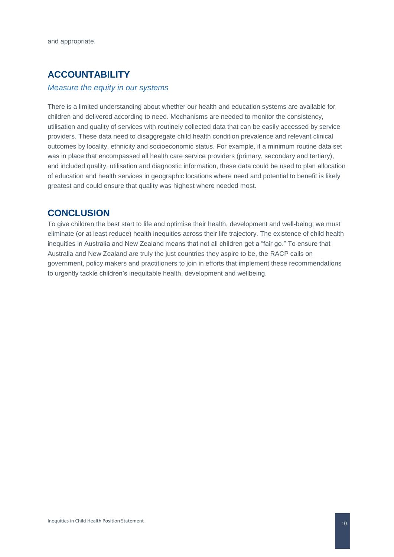### **ACCOUNTABILITY**

#### *Measure the equity in our systems*

There is a limited understanding about whether our health and education systems are available for children and delivered according to need. Mechanisms are needed to monitor the consistency, utilisation and quality of services with routinely collected data that can be easily accessed by service providers. These data need to disaggregate child health condition prevalence and relevant clinical outcomes by locality, ethnicity and socioeconomic status. For example, if a minimum routine data set was in place that encompassed all health care service providers (primary, secondary and tertiary), and included quality, utilisation and diagnostic information, these data could be used to plan allocation of education and health services in geographic locations where need and potential to benefit is likely greatest and could ensure that quality was highest where needed most.

#### **CONCLUSION**

To give children the best start to life and optimise their health, development and well-being; we must eliminate (or at least reduce) health inequities across their life trajectory. The existence of child health inequities in Australia and New Zealand means that not all children get a "fair go." To ensure that Australia and New Zealand are truly the just countries they aspire to be, the RACP calls on government, policy makers and practitioners to join in efforts that implement these recommendations to urgently tackle children's inequitable health, development and wellbeing.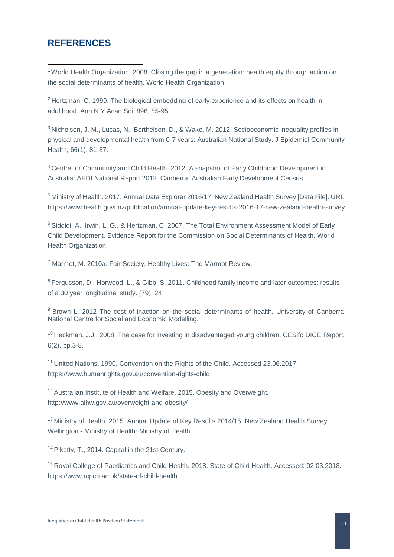### **REFERENCES**

-

<sup>1</sup>World Health Organization. 2008. Closing the gap in a generation: health equity through action on the social determinants of health. World Health Organization.

<sup>2</sup> Hertzman, C. 1999. The biological embedding of early experience and its effects on health in adulthood. Ann N Y Acad Sci, 896, 85-95.

<sup>3</sup> Nicholson, J. M., Lucas, N., Berthelsen, D., & Wake, M. 2012. Socioeconomic inequality profiles in physical and developmental health from 0-7 years: Australian National Study. J Epidemiol Community Health, 66(1), 81-87.

<sup>4</sup> Centre for Community and Child Health. 2012. A snapshot of Early Childhood Development in Australia: AEDI National Report 2012. Canberra: Australian Early Development Census.

<sup>5</sup> Ministry of Health. 2017. Annual Data Explorer 2016/17: New Zealand Health Survey [Data File]. URL: https://www.health.govt.nz/publication/annual-update-key-results-2016-17-new-zealand-health-survey

<sup>6</sup> Siddiqi, A., Irwin, L. G., & Hertzman, C. 2007. The Total Environment Assessment Model of Early Child Development. Evidence Report for the Commission on Social Determinants of Health. World Health Organization.

<sup>7</sup> Marmot, M. 2010a. Fair Society, Healthy Lives: The Marmot Review.

<sup>8</sup> Fergusson, D., Horwood, L., & Gibb, S. 2011. Childhood family income and later outcomes: results of a 30 year longitudinal study. (79), 24

9 Brown L, 2012 The cost of inaction on the social determinants of health. University of Canberra: National Centre for Social and Economic Modelling.

<sup>10</sup> Heckman, J.J., 2008. The case for investing in disadvantaged young children. CESifo DICE Report, 6(2), pp.3-8.

<sup>11</sup> United Nations. 1990. Convention on the Rights of the Child. Accessed 23.06.2017: https://www.humanrights.gov.au/convention-rights-child

<sup>12</sup> Australian Institute of Health and Welfare. 2015. Obesity and Overweight. http://www.aihw.gov.au/overweight-and-obesity/

<sup>13</sup> Ministry of Health. 2015. Annual Update of Key Results 2014/15: New Zealand Health Survey. Wellington - Ministry of Health: Ministry of Health.

<sup>14</sup> Piketty, T., 2014. Capital in the 21st Century.

<sup>15</sup> Royal College of Paediatrics and Child Health. 2018. State of Child Health. Accessed: 02.03.2018. https://www.rcpch.ac.uk/state-of-child-health